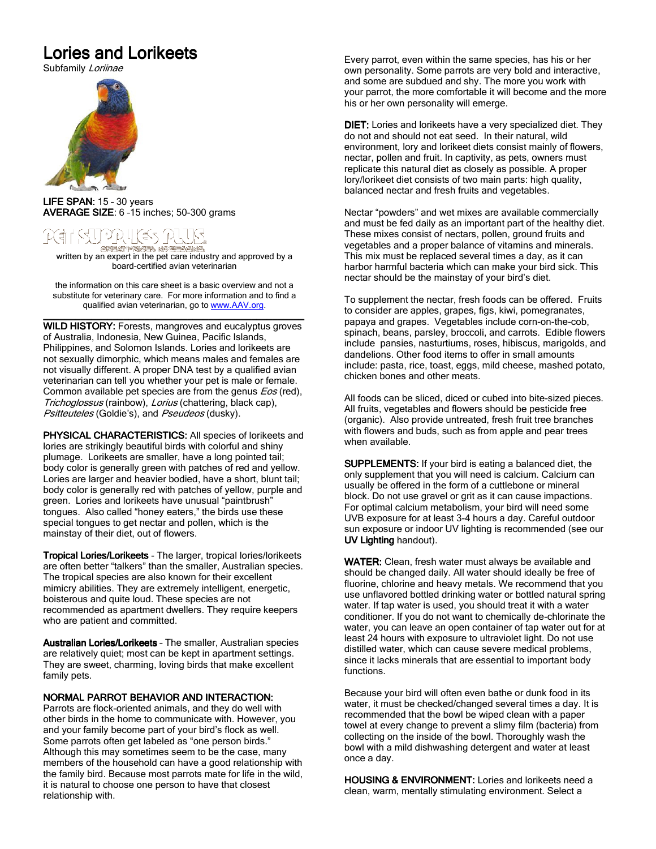## Lories and Lorikeets

Subfamily Loriinae



 LIFE SPAN: 15 – 30 years LIFE SPAN: AVERAGE SIZE:  $6 - 15$  inches; 50-300 grams

# うりけ(キュカ

**জসকলে শেষকেক মেত জনকলে কেনেকে।**<br>written by an expert in the pet care industry and approved by a board-certified avian veterinarian

the information on this care sheet is a basic overview and not a substitute for veterinary care. For more information and to find a qualified avian veterinarian, go to www.AAV.org.

\_\_\_\_\_\_\_\_\_\_\_\_\_\_\_\_\_\_\_\_\_\_\_\_\_\_\_\_\_\_\_\_\_\_\_\_\_\_\_\_\_\_\_\_\_\_\_\_\_ \_\_\_\_\_\_\_\_\_\_\_\_\_\_\_\_\_\_\_\_\_\_\_\_\_\_\_\_\_\_\_\_\_\_\_\_\_\_\_\_\_\_\_\_\_\_\_\_\_ WILD HISTORY: Forests, mangroves and eucalyptus groves of Australia, Indonesia, New Guinea, Pacific Islands, Philippines, and Solomon Islands. Lories and lorikeets are not sexually dimorphic, which means males and females are not visually different. A proper DNA test by a qualified avian veterinarian can tell you whether your pet is male or female. Common available pet species are from the genus *Eos* (red), Trichoglossus (rainbow), Lorius (chattering, black cap), Psitteuteles (Goldie's), and Pseudeos (dusky).

PHYSICAL CHARACTERISTICS: All species of lorikeets and lories are strikingly beautiful birds with colorful and shiny plumage. Lorikeets are smaller, have a long pointed tail; body color is generally green with patches of red and yellow. Lories are larger and heavier bodied, have a short, blunt tail; body color is generally red with patches of yellow, purple and green. Lories and lorikeets have unusual "paintbrush" tongues. Also called "honey eaters," the birds use these special tongues to get nectar and pollen, which is the mainstay of their diet, out of flowers.

Tropical Lories/Lorikeets - The larger, tropical lories/lorikeets are often better "talkers" than the smaller, Australian species. The tropical species are also known for their excellent mimicry abilities. They are extremely intelligent, energetic, boisterous and quite loud. These species are not recommended as apartment dwellers. They require keepers who are patient and committed.

Australian Lories/Lorikeets - The smaller, Australian species are relatively quiet; most can be kept in apartment settings. They are sweet, charming, loving birds that make excellent family pets.

### NORMAL PARROT BEHAVIOR AND INTERACTION:

Parrots are flock-oriented animals, and they do well with other birds in the home to communicate with. However, you and your family become part of your bird's flock as well. Some parrots often get labeled as "one person birds." Although this may sometimes seem to be the case, many members of the household can have a good relationship with the family bird. Because most parrots mate for life in the wild, it is natural to choose one person to have that closest relationship with.

Every parrot, even within the same species, has his or her own personality. Some parrots are very bold and interactive, and some are subdued and shy. The more you work with your parrot, the more comfortable it will become and the more his or her own personality will emerge.

DIET: Lories and lorikeets have a very specialized diet. They do not and should not eat seed. In their natural, wild environment, lory and lorikeet diets consist mainly of flowers, nectar, pollen and fruit. In captivity, as pets, owners must replicate this natural diet as closely as possible. A proper lory/lorikeet diet consists of two main parts: high quality, balanced nectar and fresh fruits and vegetables.

Nectar "powders" and wet mixes are available commercially and must be fed daily as an important part of the healthy diet. These mixes consist of nectars, pollen, ground fruits and vegetables and a proper balance of vitamins and minerals. This mix must be replaced several times a day, as it can harbor harmful bacteria which can make your bird sick. This nectar should be the mainstay of your bird's diet.

To supplement the nectar, fresh foods can be offered. Fruits to consider are apples, grapes, figs, kiwi, pomegranates, papaya and grapes. Vegetables include corn-on-the-cob, spinach, beans, parsley, broccoli, and carrots. Edible flowers include pansies, nasturtiums, roses, hibiscus, marigolds, and dandelions. Other food items to offer in small amounts include: pasta, rice, toast, eggs, mild cheese, mashed potato, chicken bones and other meats.

All foods can be sliced, diced or cubed into bite-sized pieces. All fruits, vegetables and flowers should be pesticide free (organic). Also provide untreated, fresh fruit tree branches with flowers and buds, such as from apple and pear trees when available.

**SUPPLEMENTS:** If your bird is eating a balanced diet, the only supplement that you will need is calcium. Calcium can usually be offered in the form of a cuttlebone or mineral block. Do not use gravel or grit as it can cause impactions. For optimal calcium metabolism, your bird will need some UVB exposure for at least 3-4 hours a day. Careful outdoor sun exposure or indoor UV lighting is recommended (see our UV Lighting handout).

WATER: Clean, fresh water must always be available and should be changed daily. All water should ideally be free of fluorine, chlorine and heavy metals. We recommend that you use unflavored bottled drinking water or bottled natural spring water. If tap water is used, you should treat it with a water conditioner. If you do not want to chemically de-chlorinate the water, you can leave an open container of tap water out for at least 24 hours with exposure to ultraviolet light. Do not use distilled water, which can cause severe medical problems, since it lacks minerals that are essential to important body functions.

Because your bird will often even bathe or dunk food in its water, it must be checked/changed several times a day. It is recommended that the bowl be wiped clean with a paper towel at every change to prevent a slimy film (bacteria) from collecting on the inside of the bowl. Thoroughly wash the bowl with a mild dishwashing detergent and water at least once a day.

HOUSING & ENVIRONMENT: Lories and lorikeets need a clean, warm, mentally stimulating environment. Select a